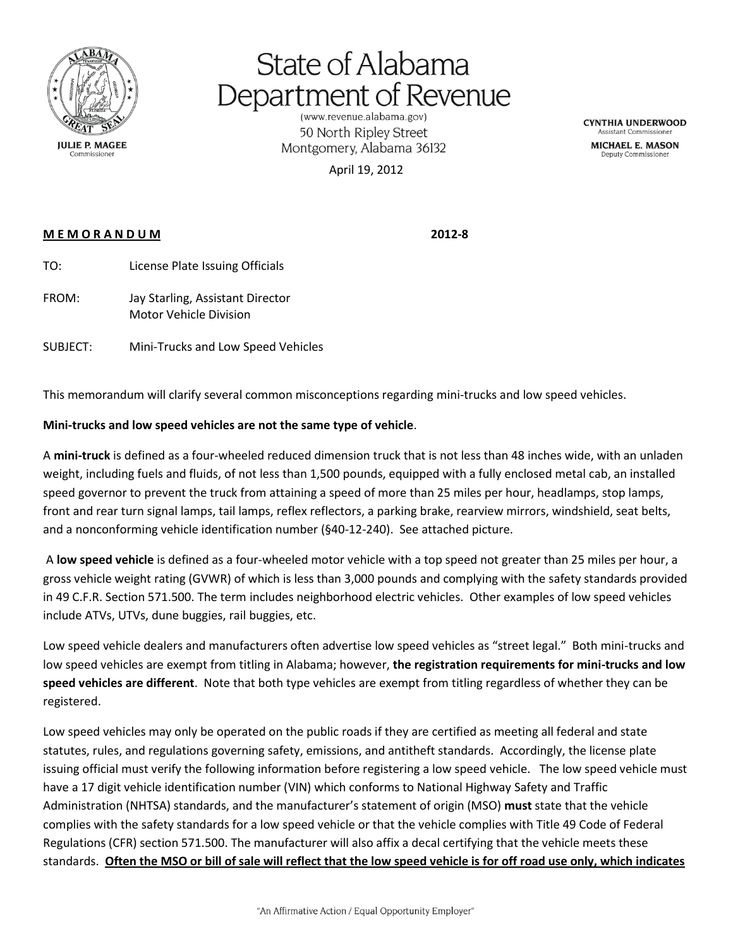

## State of Alabama Department of Revenue

50 North Ripley Street Montgomery, Alabama 36132

April 19, 2012

**CYNTHIA UNDERWOOD Assistant Commission** 

MICHAEL E. MASON Deputy Commissione

## **M E M O R A N D U M 2012-8**

- TO: License Plate Issuing Officials
- FROM: Jay Starling, Assistant Director Motor Vehicle Division

SUBJECT: Mini-Trucks and Low Speed Vehicles

This memorandum will clarify several common misconceptions regarding mini-trucks and low speed vehicles.

## **Mini-trucks and low speed vehicles are not the same type of vehicle**.

A **mini-truck** is defined as a four-wheeled reduced dimension truck that is not less than 48 inches wide, with an unladen weight, including fuels and fluids, of not less than 1,500 pounds, equipped with a fully enclosed metal cab, an installed speed governor to prevent the truck from attaining a speed of more than 25 miles per hour, headlamps, stop lamps, front and rear turn signal lamps, tail lamps, reflex reflectors, a parking brake, rearview mirrors, windshield, seat belts, and a nonconforming vehicle identification number (§40-12-240). See attached picture.

A **low speed vehicle** is defined as a four-wheeled motor vehicle with a top speed not greater than 25 miles per hour, a gross vehicle weight rating (GVWR) of which is less than 3,000 pounds and complying with the safety standards provided in 49 C.F.R. Section 571.500. The term includes neighborhood electric vehicles. Other examples of low speed vehicles include ATVs, UTVs, dune buggies, rail buggies, etc.

Low speed vehicle dealers and manufacturers often advertise low speed vehicles as "street legal." Both mini-trucks and low speed vehicles are exempt from titling in Alabama; however, **the registration requirements for mini-trucks and low speed vehicles are different**. Note that both type vehicles are exempt from titling regardless of whether they can be registered.

Low speed vehicles may only be operated on the public roads if they are certified as meeting all federal and state statutes, rules, and regulations governing safety, emissions, and antitheft standards. Accordingly, the license plate issuing official must verify the following information before registering a low speed vehicle. The low speed vehicle must have a 17 digit vehicle identification number (VIN) which conforms to National Highway Safety and Traffic Administration (NHTSA) standards, and the manufacturer's statement of origin (MSO) **must** state that the vehicle complies with the safety standards for a low speed vehicle or that the vehicle complies with Title 49 Code of Federal Regulations (CFR) section 571.500. The manufacturer will also affix a decal certifying that the vehicle meets these standards. **Often the MSO or bill of sale will reflect that the low speed vehicle is for off road use only, which indicates**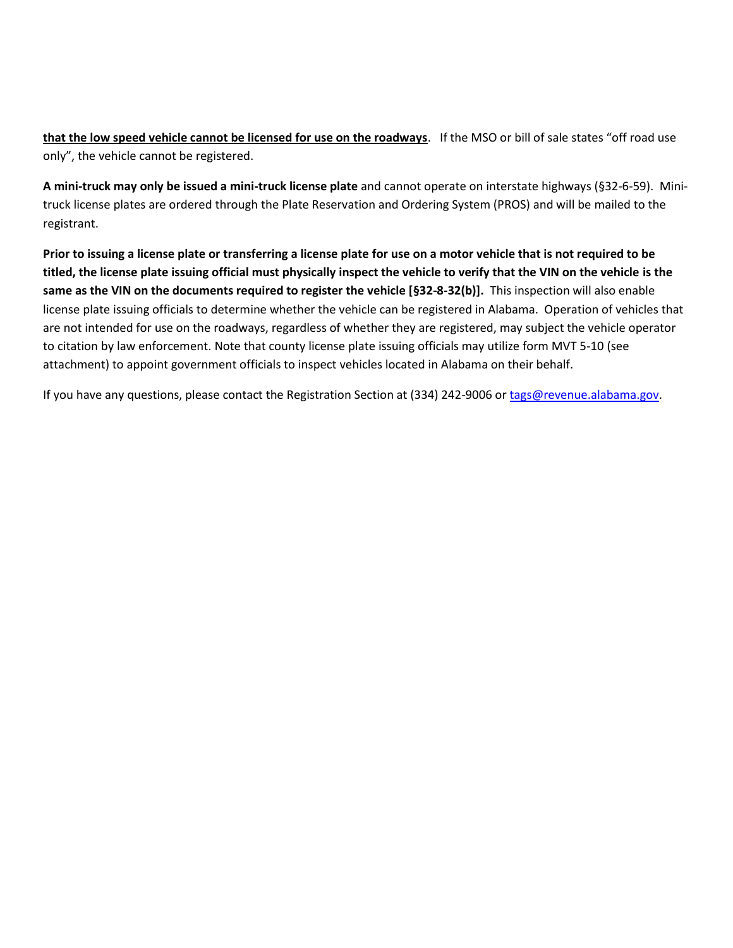**that the low speed vehicle cannot be licensed for use on the roadways**. If the MSO or bill of sale states "off road use only", the vehicle cannot be registered.

**A mini-truck may only be issued a mini-truck license plate** and cannot operate on interstate highways (§32-6-59). Minitruck license plates are ordered through the Plate Reservation and Ordering System (PROS) and will be mailed to the registrant.

**Prior to issuing a license plate or transferring a license plate for use on a motor vehicle that is not required to be titled, the license plate issuing official must physically inspect the vehicle to verify that the VIN on the vehicle is the same as the VIN on the documents required to register the vehicle [§32-8-32(b)].** This inspection will also enable license plate issuing officials to determine whether the vehicle can be registered in Alabama. Operation of vehicles that are not intended for use on the roadways, regardless of whether they are registered, may subject the vehicle operator to citation by law enforcement. Note that county license plate issuing officials may utilize form MVT 5-10 (see attachment) to appoint government officials to inspect vehicles located in Alabama on their behalf.

If you have any questions, please contact the Registration Section at (334) 242-9006 or [tags@revenue.alabama.gov.](mailto:tags@revenue.alabama.gov)